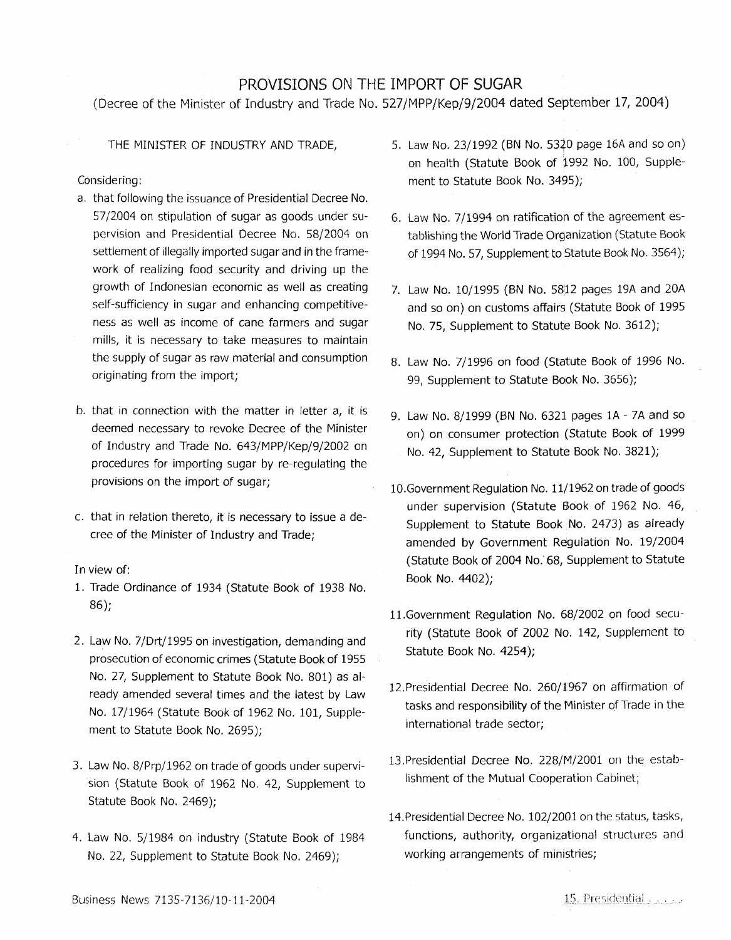# PROVISIONS ON THE IMPORT OF **SUGAR**

(Decree of the Minister of Industry and Trade No. 527 /MPP/Kep/9/2004 dated September 17, 2004)

THE MINISTER OF INDUSTRY AND TRADE,

## Considering:

- a. that following the issuance of Presidential Decree No. 57 /2004 on stipulation of sugar as goods under supervision and Presidential Decree No. 58/2004 on settlement of illegally imported sugar and in the framework of realizing food security and driving up the growth of Indonesian economic as well as creating self-sufficiency in sugar and enhancing competitiveness as well as income of cane farmers and sugar mills, it is necessary to take measures to maintain the supply of sugar as raw material and consumption originating from the import;
- b. that in connection with the matter in letter a, it is deemed necessary to revoke Decree of the Minister of Industry and Trade No. 643/MPP/Kep/9/2002 on procedures for importing sugar by re-regulating the provisions on the import of sugar;
- c. that in relation thereto, it is necessary to issue a decree of the Minister of Industry and Trade;

## In view of:

- 1. Trade Ordinance of 1934 (Statute Book of 1938 No. 86);
- 2. Law No. 7/Drt/1995 on investigation, demanding and prosecution of economic crimes (Statute Book of 1955 No. 27, Supplement to Statute Book No. 801) as already amended several times and the latest by Law No. 17/1964 (Statute Book of 1962 No. 101, Supplement to Statute Book No. 2695);
- 3. Law No. 8/Prp/1962 on trade of goods under supervision (Statute Book of 1962 No. 42, Supplement to Statute Book No. 2469);
- 4. Law No. 5/1984 on industry (Statute Book of 1984 No. 22, Supplement to Statute Book No. 2469);
- 5. Law No. 23/1992 (BN No. 5320 page 16A and so on) on health (Statute Book of 1992 No. 100, Supplement to Statute Book No. 3495);
- 6. Law No. 7/1994 on ratification of the agreement establishing the World Trade Organization (Statute Book of 1994 No. 57, Supplement to Statute Book No. 3564);
- 7. Law No. 10/1995 (BN No. 5812 pages 19A and 20A and so on) on customs affairs (Statute Book of 1995 No. 75, Supplement to Statute Book No. 3612);
- 8. Law No. 7/1996 on food (Statute Book of 1996 No. 99, Supplement to Statute Book No. 3656);
- 9. Law No. 8/1999 (BN No. 6321 pages lA 7A and so on) on consumer protection (Statute Book of 1999 No. 42, Supplement to Statute Book No. 3821);
- 10.Government Regulation No. 11/1962 on trade of goods under supervision (Statute Book of 1962 No. 46, Supplement to Statute Book No. 2473) as already amended by Government Regulation No. 19/2004 (Statute Book of 2004 No. 68, Supplement to Statute Book No. 4402);
- 11.Government Regulation No. 68/2002 on food security (Statute Book of 2002 No. 142, Supplement to Statute Book No. 4254);
- 12.Presidential Decree **No.** 260/1967 on affirmation of tasks and responsibility of the Minister of Trade in the international trade sector;
- 13.Presidential Decree No. 228/M/2001 on the establishment of the Mutual Cooperation Cabinet;
- 14.Presidential Decree No. 102/2001 on the status, tasks, functions, authority, organizational structures and working arrangements of ministries;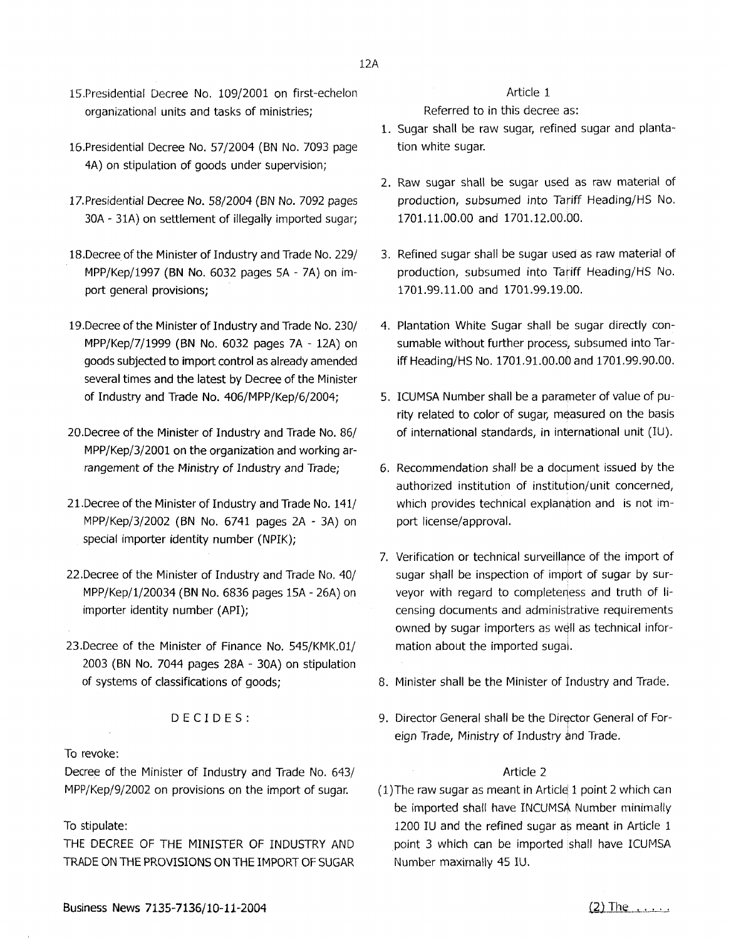- 15.Presidential Decree No. 109/2001 on first-echelon organizational units and tasks of ministries;
- 16.Presidential Decree No. 57/2004 (BN No. 7093 page 4A) on stipulation of goods under supervision;
- 17.Presidential Decree No. 58/2004 (SN No. 7092 pages 30A - 31A) on settlement of illegally imported sugar;
- 18.Decree of the Minister of Industry and Trade No. 229/ MPP/Kep/1997 **(BN No.** 6032 pages SA - 7A) on import general provisions;
- 19.Decree of the Minister of Industry and Trade No. 230/ MPP/Kep/7/1999 (BN No. 6032 pages 7A - 12A) on goods subjected to import control as already amended several times and the latest by Decree of the Minister of Industry and Trade No. 406/MPP/Kep/6/2004;
- 20.Decree of the Minister of Industry and Trade No. 86/ MPP/Kep/3/2001 on the organization and working arrangement of the Ministry of Industry and Trade;
- 21.Decree of the Minister of Industry and Trade No. 141/ MPP/Kep/3/2002 (BN No. 6741 pages 2A - 3A) on special importer identity number (NPIK);
- 
- 23.Decree of the Minister of Finance No. 545/KMK.01/ mation about the imported sugal. 2003 (BN No. 7044 pages 28A - 30A) on stipulation

#### To revoke:

Decree of the Minister of Industry and Trade No. 643/ MPP/Kep/9/2002 on provisions on the import of sugar.  $(1)$ The raw sugar as meant in Article: 1 point 2 which can

#### To stipulate:

THE DECREE OF THE MINISTER OF INDUSTRY AND TRADE ON THE PROVISIONS ON THE IMPORT OF SUGAR

#### Article 1

Referred to in this decree as:

- 1. Sugar shall be raw sugar, refined sugar and planta-· tion white sugar.
- 2. Raw sugar shall be sugar used as raw material of production, subsumed into Tariff Heading/HS No. 1701.11.00.00 and 1701.12.00.00.
- 3. Refined sugar shall be sugar used as raw material of production, subsumed into Tariff Heading/HS No. 1701.99.11.00 and 1701.99.19.00.
- 4. Plantation White Sugar shall be sugar directly consumable without further process, subsumed into Tariff Heading/HS No. 1701.91.00.0© and 1701.99.90.00.
- 5. ICUMSA Number shall be a parameter of value of purity related to color of sugar, measured on the basis of international standards, in international unit (IU).
- 6. Recommendation shall be a document issued by the authorized institution of institution/unit concerned, which provides technical explanation and is not import license/approval.
- 7. Verification or technical surveillarce of the import of 22.Decree of the Minister of Industry and Trade No. 40/ sugar shall be inspection of import of sugar by sur-MPP/Kep/1/20034 (BN No. 6836 pages 15A - 26A) on veyor with regard to completeness and truth of  $\mathbf{I}$ iimporter identity number (API); censing documents and administrative requirements owned by sugar importers as well as technical infor
	- of systems of classifications of goods; 8. Minister shall be the Minister of Industry and Trade.
		- DECIDES: 9. Director General shall be the Director General of Foreign Trade, Ministry of Industry and Trade.

be imported shall have INCUMSA Number minimally 1200 IU and the refined sugar as meant in Article 1 point 3 which can be imported shall have ICUMSA Number maximally 45 IU.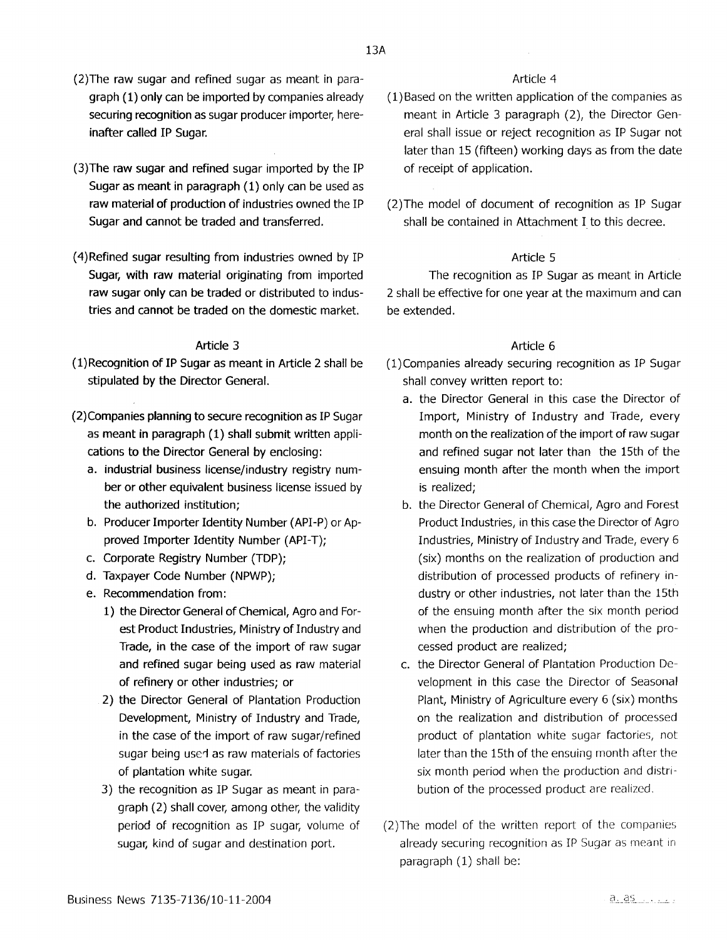13A

- (2)The raw sugar and refined sugar as meant in paragraph (1) only can be imported by companies already securing recognition as sugar producer importer, hereinafter called IP Sugar.
- (3)The raw sugar and refined sugar imported by the IP Sugar as meant in paragraph {l) only can be used as raw material of production of industries owned the IP Sugar and cannot be traded and transferred.
- (4)Refined sugar resulting from industries owned by IP Sugar, with raw material originating from imported raw sugar only can be traded or distributed to industries and cannot be traded on the domestic market.

## Article 3

- {l)Recognition of IP Sugar as meant in Article 2 shall be stipulated by the Director General.
- (2)Companies planning to secure recognition as IP Sugar as meant in paragraph {l) shall submit written applications to the Director General by enclosing:
	- a. industrial business license/industry registry number or other equivalent business license issued by the authorized institution;
	- b. Producer Importer Identity Number (API-P) or Approved Importer Identity Number (API-T);
	- c. Corporate Registry Number {TOP);
	- d. Taxpayer Code Number (NPWP);
	- e. Recommendation from:
		- 1) the Director General of Chemical, Agro and Forest Product Industries, Ministry of Industry and Trade, in the case of the import of raw sugar and refined sugar being used as raw material of refinery or other industries; or
		- 2) the Director General of Plantation Production Development, Ministry of Industry and Trade, in the case of the import of raw sugar/refined sugar being used as raw materials of factories of plantation white sugar.
		- 3) the recognition as IP Sugar as meant in paragraph (2) shall cover, among other, the validity period of recognition as IP sugar, volume of sugar, kind of sugar and destination port.

## Article 4

- ( 1) Based on the written application of the companies as meant in Article 3 paragraph (2), the Director General shall issue or reject recognition as IP Sugar not later than 15 (fifteen) working days as from the date of receipt of application.
- (2)The model of document of recognition as IP Sugar shall be contained in Attachment I to this decree.

## Article 5

The recognition as IP Sugar as meant in Article 2 shall be effective for one year at the maximum and can be extended.

## Article 6

- (l)Companies already securing recognition as IP Sugar shall convey written report to:
	- a. the Director General in this case the Director of Import, Ministry of Industry and Trade, every month on the realization of the import of raw sugar and refined sugar not later than the 15th of the ensuing month after the month when the import is realized;
	- b. the Director General of Chemical, Agro and Forest Product Industries, in this case the Director of Agro Industries, Ministry of Industry and Trade, every 6 (six) months on the realization of production and distribution of processed products of refinery industry or other industries, not later than the 15th of the ensuing month after the six month period when the production and distribution of the processed product are realized;
	- c. the Director General of Plantation Production Development in this case the Director of Seasonal Plant, Ministry of Agriculture every 6 (six) months on the realization and distribution of processed product of plantation white sugar factories, not later than the 15th of the ensuing month after the six month period when the production and distribution of the processed product are realized.
- (2)The model of the written report of the companies already securing recognition as IP Sugar as meant in paragraph (1) shall be: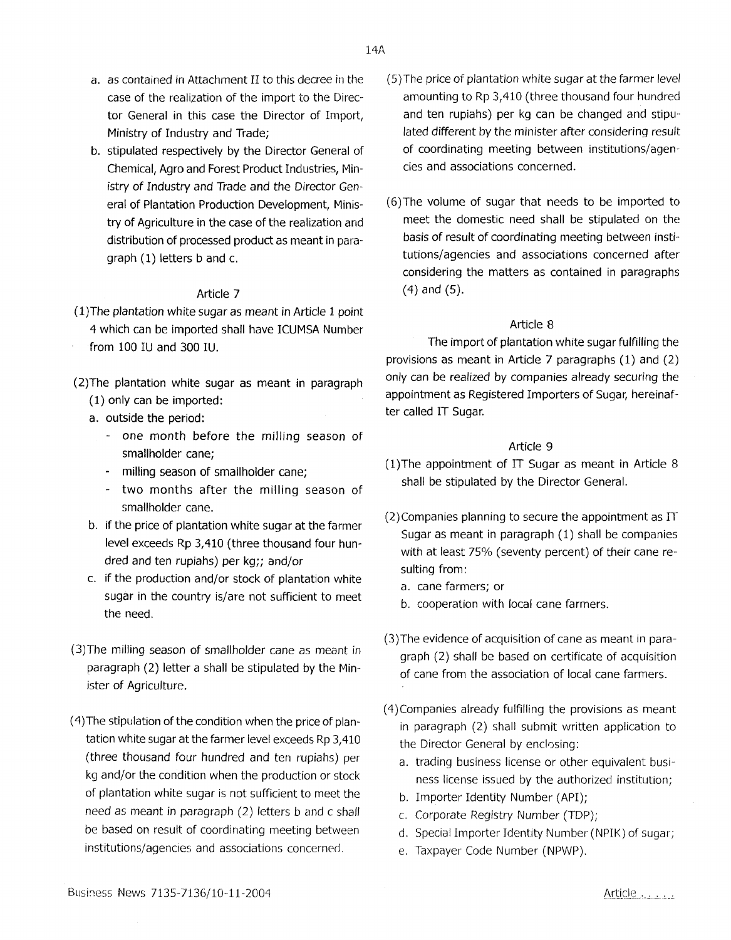- a. as contained in Attachment II to this decree in the case of the realization of the import to the Director General in this case the Director of Import, Ministry of Industry and Trade;
- b. stipulated respectively by the Director General of Chemical, Agro and Forest Product Industries, Ministry of Industry and Trade and the Director General of Plantation Production Development, Ministry of Agriculture in the case of the realization and distribution of processed product as meant in paragraph (1) letters band c.

- $(1)$ The plantation white sugar as meant in Article 1 point 4 which can be imported shall have ICUMSA Number from 100 IU and 300 IU.
- (2)The plantation white sugar as meant in paragraph (1) only can be imported:
	- a. outside the period:
		- one month before the milling season of smallholder cane;
		- milling season of smallholder cane;
		- two months after the milling season of smallholder cane.
	- b. if the price of plantation white sugar at the farmer level exceeds Rp 3,410 (three thousand four hundred and ten rupiahs) per kg;; and/or
	- c. if the production and/or stock of plantation white sugar in the country is/are not sufficient to meet the need.
- (3)The milling season of smallholder cane as *meant* in paragraph (2) letter a shall be stipulated by the Minister of Agriculture.
- ( 4) The stipulation of the condition when the price of plantation white sugar at the farmer level exceeds Rp 3,410 (three thousand four hundred and ten rupiahs) per kg and/or the condition when the production or stock of plantation white sugar is not sufficient to meet the need as meant in paragraph (2) fetters b and c shall be based on result of coordinating meeting between institutions/agencies and associations concerned.

cies and associations concerned.

(6)The volume of sugar that needs to be imported to meet the domestic need shall be stipulated on the basis of result of coordinating meeting between insti· tutions/agencies and associations concerned after considering the matters as contained in paragraphs (4) and (5).

## Article 8

The import of plantation white sugar fulfilling the provisions as meant in Article 7 paragraphs (1) and (2) only can be realized by companies already securing the appointment as Registered Importers of Sugar, hereinafter called IT Sugar.

## Article 9

- (l)The appointment of IT Sugar as meant in Article 8 shall be stipulated by the Director General.
- (2)Companies planning to secure the appointment as IT Sugar as meant in paragraph (1) shall be companies with at least 75% (seventy percent) of their cane resulting from:
	- a. cane farmers; or
	- b. cooperation with local cane farmers.
- (3)The evidence of acquisition of cane as meant in paragraph (2) shall be based on certificate of acquisition of cane from the association of local cane farmers.
- ( 4) Companies already fulfilling the provisions as meant in paragraph (2) shall submit written application to the Director General by enclosing:
	- a. trading business license or other equivalent business license issued by the authorized institution;
	- b. Importer Identity Number (API);
	- c. Corporate Registry Number (TDP);
	- d. Special Importer Identity Number (NPIK) of sugar;
	- e. Taxpayer Code Number (NPWP).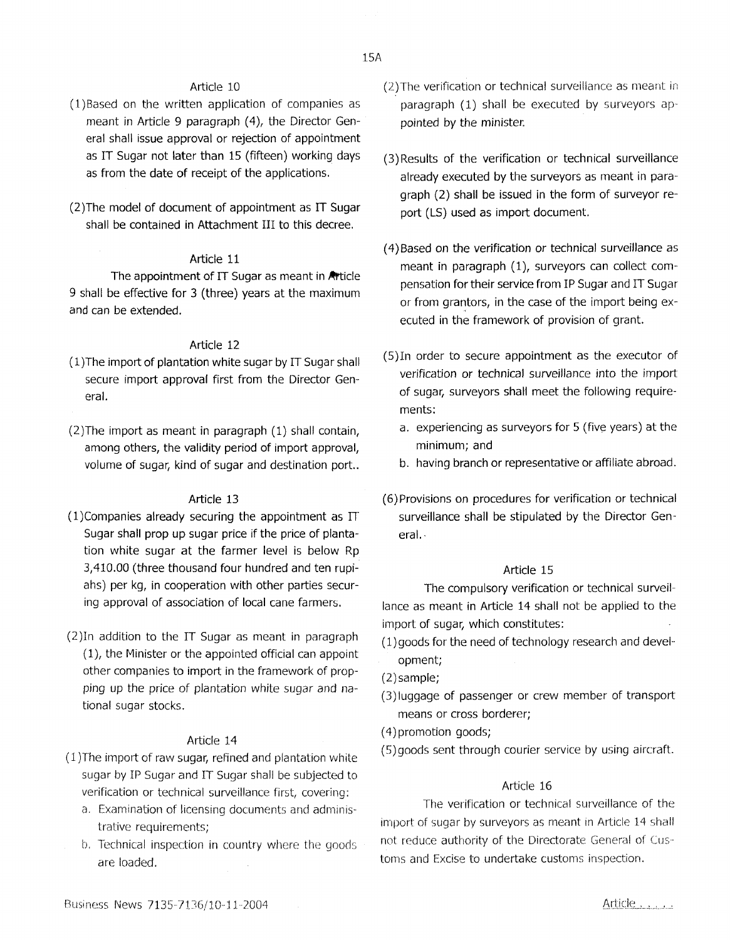- ( 1) Based on the written application of companies as meant in Article 9 paragraph (4), the Director General shall issue approval or rejection of appointment as IT Sugar not later than 15 (fifteen) working days as from the date of receipt of the applications.
- (2)The model of document of appointment as IT Sugar shall be contained in Attachment III to this decree.

## Article 11

The appointment of IT Sugar as meant in Article 9 shall be effective for 3 (three) years at the maximum and can be extended.

#### Article 12

- ( 1 )The import of plantation white sugar by IT Sugar shall secure import approval first from the Director General.
- (2)The import as meant in paragraph (1) shall contain, among others, the validity period of import approval, volume of sugar, kind of sugar and destination port..

#### Article 13

- $(1)$ Companies already securing the appointment as IT Sugar shall prop up sugar price if the price of plantation white sugar at the farmer level is below Rp 3,410.00 (three thousand four hundred and ten rupiahs) per kg, in cooperation with other parties securing approval of association of local cane farmers.
- (2)In addition to the IT Sugar as meant in paragraph (1), the Minister or the appointed official can appoint other companies to import in the framework of propping up the price of plantation white sugar and national sugar stocks.

#### Article 14

- ( 1 )The import of raw sugar, refined and plantation white sugar by IP Sugar and IT Sugar shall be subjected to verification or technical surveillance first, covering:
	- a. Examination of licensing documents and administrative requirements;
	- b. Technical inspection in country where the goods are loaded.
- (2)The verification or technical surveillance as meant in paragraph (1) shall be executed by surveyors appointed by the minister.
- (3) Results of the verification or technical surveillance already executed by the surveyors as meant in paragraph (2) shall be issued in the form of surveyor report (LS) used as import document.
- ( 4) Based on the verification or technical surveillance as meant in paragraph (1), surveyors can collect compensation for their service from IP Sugar and IT Sugar or from grantors, in the case of the import being executed in the framework of provision of grant.
- (S)In order to secure appointment as the executor of verification or technical surveillance into the import of sugar, surveyors shall meet the following requirements:
	- a. experiencing as surveyors for 5 (five years) at the minimum; and
	- b. having branch or representative or affiliate abroad.
- (6)Provisions on procedures for verification or technical surveillance shall be stipulated by the Director General. -

#### Article 15

The compulsory verification or technical surveillance as meant in Article 14 shall not be applied to the import of sugar, which constitutes:

- ( 1) goods for the need of technology research and development;
- (2)sample;
- (3)Iuggage of passenger or crew member of transport means or cross borderer;
- ( 4) promotion goods;
- (5)goods sent through courier service by using aircraft

#### Article 16

The verification or technical surveillance of the import of sugar by surveyors as meant in Article 14 shall not reduce authority of the Directorate Ceneral of Customs and Excise to undertake customs inspection.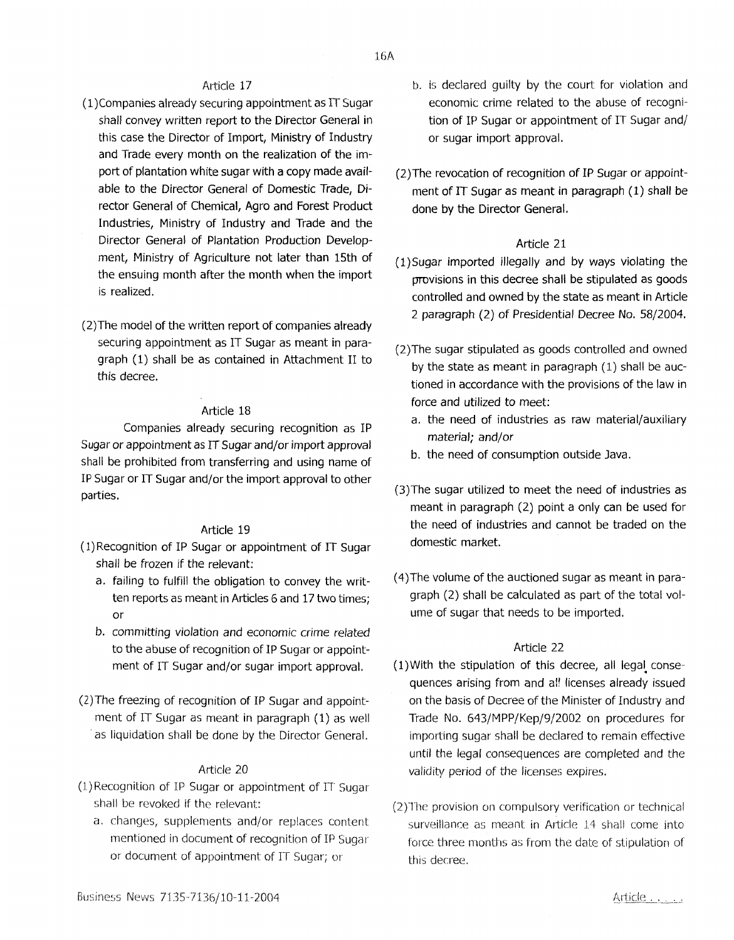- (l)Companies already securing appointment as IT Sugar shall convey written report to the Director General in this case the Director of Import, Ministry of Industry and Trade every month on the realization of the import of plantation white sugar with a copy made available to the Director General of Domestic Trade, Director General of Chemical, Agro and Forest Product Industries, Ministry of Industry and Trade and the Director General of Plantation Production Development, Ministry of Agriculture not later than 15th of the ensuing month after the month when the import is realized.
- (2)The model of the written report of companies already securing appointment as IT Sugar as meant in paragraph (1) shall be as contained in Attachment II to this decree.

#### Article 18

Companies already securing recognition as IP Sugar or appointment as IT Sugar and/or import approval shall be prohibited from transferring and using name of IP Sugar or IT Sugar and/or the import approval to other parties.

#### Article 19

- ( 1) Recognition of IP Sugar or appointment of IT Sugar shall be frozen if the relevant:
	- a. failing to fulfill the obligation to convey the written reports as meant in Articles 6 and 17 two times; or
	- b. committing violation and economic crime related to the abuse of recognition of IP Sugar or appointment of IT Sugar and/or sugar import approval.
- (2)The freezing of recognition of IP Sugar and appointment of IT Sugar as meant in paragraph (1) as well as liquidation shall be done by the Director General.

#### Article 20

- (l)Recognition of IP Sugar or appointment of IT Sugar shall be revoked if the relevant:
	- a. changes, supplements and/or replaces content mentioned in document of recognition of IP Sugar or document of appointment of IT Sugar; or
- b. is declared guilty by the court for violation and economic crime related to the abuse of recognition of IP Sugar or appointment of IT Sugar and/ or sugar import approval.
- (2)The revocation of recognition of IP Sugar or appointment of IT Sugar as meant in paragraph (1) shall be done by the Director General.

#### Article 21

- (l)Sugar imported illegally and by ways violating the provisions in this decree shall be stipulated as goods controlled and owned by the state as meant in Article 2 paragraph (2) of Presidential Decree No. 58/2004.
- (2)The sugar stipulated as goods controlled and owned by the state as meant in paragraph (1) shall be auctioned in accordance with the provisions of the law in force and utilized to meet:
	- a. the need of industries as raw material/auxiliary material; and/or
	- b. the need of consumption outside Java.
- (3)The sugar utilized to meet the need of industries as meant in paragraph (2) point a only can be used for the need of industries and cannot be traded on the domestic market.
- ( 4) The volume of the auctioned sugar as meant in paragraph (2) shall be calculated as part of the total volume of sugar that needs to be imported.

#### Article 22

- $(1)$  With the stipulation of this decree, all legal consequences arising from and al' licenses already issued on the basis of Decree of the Minister of Industry and Trade No. 643/MPP/Kep/9/2002 on procedures for importing sugar shall be declared to remain effective until the legal consequences are completed and the validity period of the licenses expires.
- (2)The provision on compulsory verification or technical surveillance as meant in Article 14 shall come into force three months as from the date of stipulation of this decree.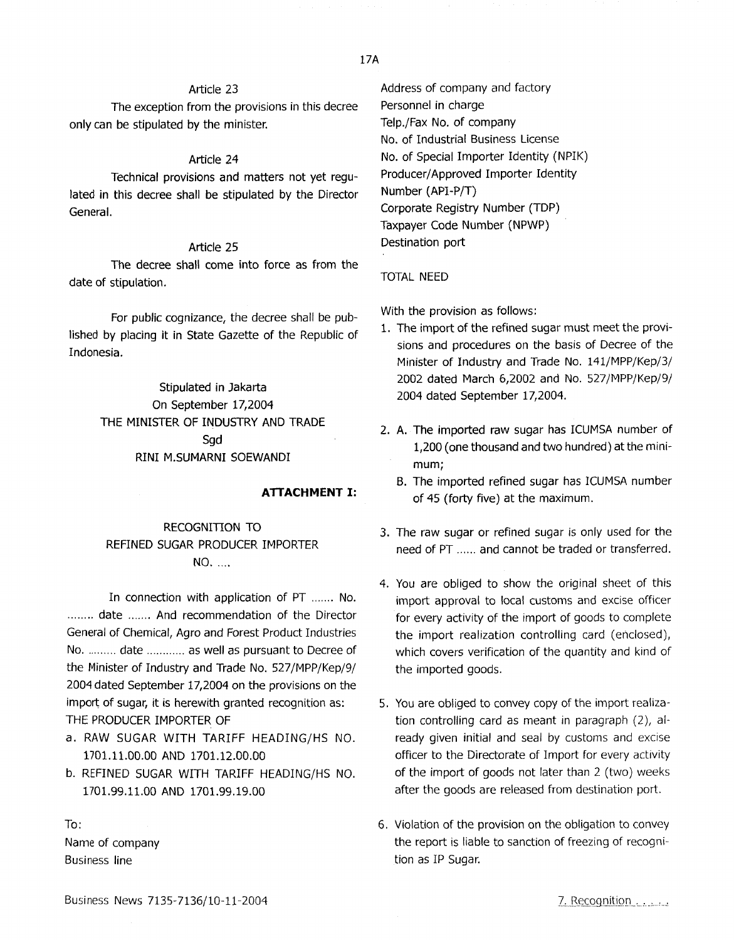The exception from the provisions in this decree only can be stipulated by the minister.

#### Article 24

Technical provisions and matters not yet regulated in this decree shall be stipulated by the Director General.

#### Article 25

The decree shall come into force as from the date of stipulation.

For public cognizance, the decree shall be published by placing it in State Gazette of the Republic of Indonesia.

> Stipulated in Jakarta On September 17,2004 THE MINISTER OF INDUSTRY AND TRADE Sgd RINI M.SUMARNI SOEWANDI

#### **ATTACHMENT** I:

## RECOGNITION TO REFINED SUGAR PRODUCER IMPORTER **NO.** ....

In connection with application of PT ....... No. ........ date ....... And recommendation of the Director General of Chemical, Agro and Forest Product Industries No. ......... date ............ as well as pursuant to Decree of the Minister of Industry and Trade No. 527/MPP/Kep/9/ 2004 dated September 17,2004 on the provisions on the import of sugar, it is herewith granted recognition as: THE PRODUCER IMPORTER OF

- a. RAW SUGAR WITH TARIFF HEADING/HS NO. 1701.11.00.00 AND 1701.12.00.00
- b. REFINED SUGAR WITH TARIFF HEADING/HS NO. 1701.99.11.00 AND 1701.99.19.00

To: Name of company Business line

Address of company and factory Personnel in charge Telp,/Fax No. of company No. of Industrial Business License No. of Special Importer Identity (NPIK) Producer/ Approved Importer Identity Number (API-P/T) Corporate Registry Number (TDP) Taxpayer Code Number (NPWP) Destination port

#### TOTAL NEED

With the provision as follows:

- 1. The import of the refined sugar must meet the provisions and procedures on the basis of Decree of the Minister of Industry and Trade No. 141/MPP/Kep/3/ 2002 dated March 6,2002 and No. 527/MPP/Kep/9/ 2004 dated September 17,2004.
- 2. A. The imported raw sugar has ICUMSA number of 1,200 (one thousand and two hundred) at the minimum;
	- B. The imported refined sugar has ICUMSA number of 45 (forty five) at the maximum.
- 3. The raw sugar or refined sugar is only used for the need of PT ...... and cannot be traded or transferred.
- 4. You are obliged to show the original sheet of this import approval to local customs and excise officer for every activity of the import of goods to complete the import realization controlling card (enclosed), which covers verification of the quantity and kind of the imported goods.
- 5. You are obliged to convey copy of the import realization controlling card as meant in paragraph (2), already given initial and seal by customs and excise officer to the Directorate of Import for every activity of the import of goods not later than 2 (two) weeks after the goods are released from destination port.
- 6. Violation of the provision on the obligation to convey the report is liable to sanction of freezing of recognition as IP Sugar.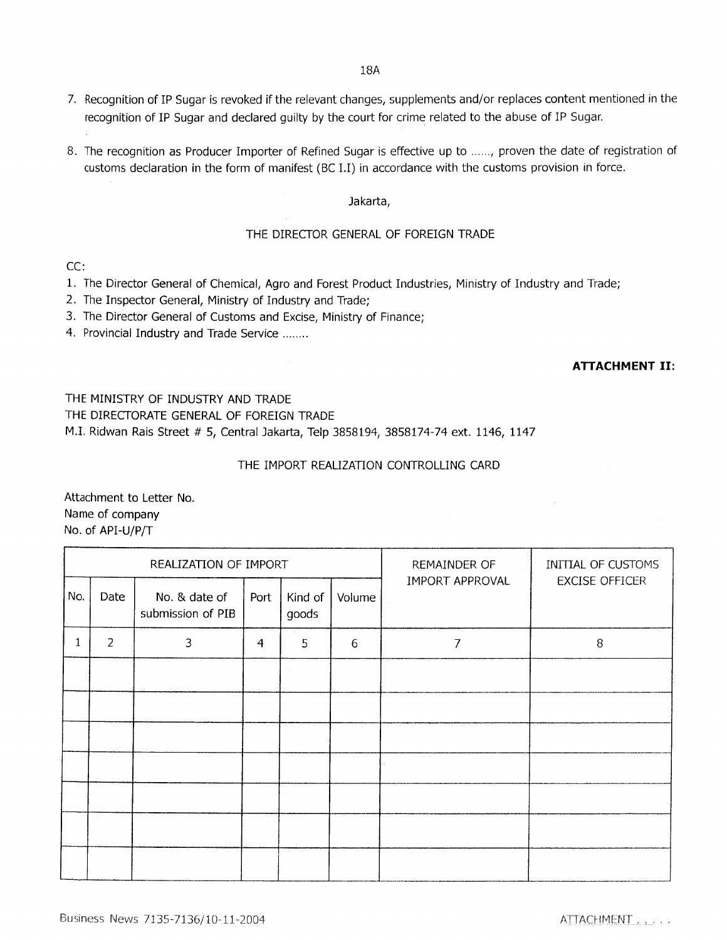- 7. Recognition of IP Sugar is revoked if the relevant changes, supplements and/or replaces content mentioned in the recognition of IP Sugar and declared guilty by the court for crime related to the abuse of IP Sugar.
- 8. The recognition as Producer Importer of Refined Sugar is effective up to ...... , proven the date of registration of customs declaration in the form of manifest (BC I.I) in accordance with the customs provision in force.

## Jakarta,

## THE DIRECTOR GENERAL OF FOREIGN TRADE

CC:

- 1. The Director General of Chemical, Agro and Forest Product Industries, Ministry of Industry and Trade;
- 2. The Inspector General, Ministry of Industry and Trade;
- 3. The Director General of Customs and Excise, Ministry of Finance;
- 4. Provincial Industry and Trade Service ....... .

## **ATTACHMENT** II:

THE MINISTRY OF INDUSTRY AND TRADE THE DIRECTORATE GENERAL OF FOREIGN TRADE M.I. Ridwan Rais Street # 5, Central Jakarta, Telp 3858194, 3858174-74 ext. 1146, 1147

THE IMPORT REALIZATION CONTROLLING CARD

Attachment to Letter No. Name of company No. of API-U/P/T

| REALIZATION OF IMPORT |                |                                    |                |                  |        | REMAINDER OF    | INITIAL OF CUSTOMS    |
|-----------------------|----------------|------------------------------------|----------------|------------------|--------|-----------------|-----------------------|
| No.                   | Date           | No. & date of<br>submission of PIB | Port           | Kind of<br>goods | Volume | IMPORT APPROVAL | <b>EXCISE OFFICER</b> |
|                       | $\overline{2}$ | 3                                  | $\overline{4}$ | 5                | 6      | 7               | 8                     |
|                       |                |                                    |                |                  |        |                 |                       |
|                       |                |                                    |                |                  |        |                 |                       |
|                       |                |                                    |                |                  |        |                 |                       |
|                       |                |                                    |                |                  |        |                 |                       |
|                       |                |                                    |                |                  |        |                 |                       |
|                       |                |                                    |                |                  |        |                 |                       |
|                       |                |                                    |                |                  |        |                 |                       |